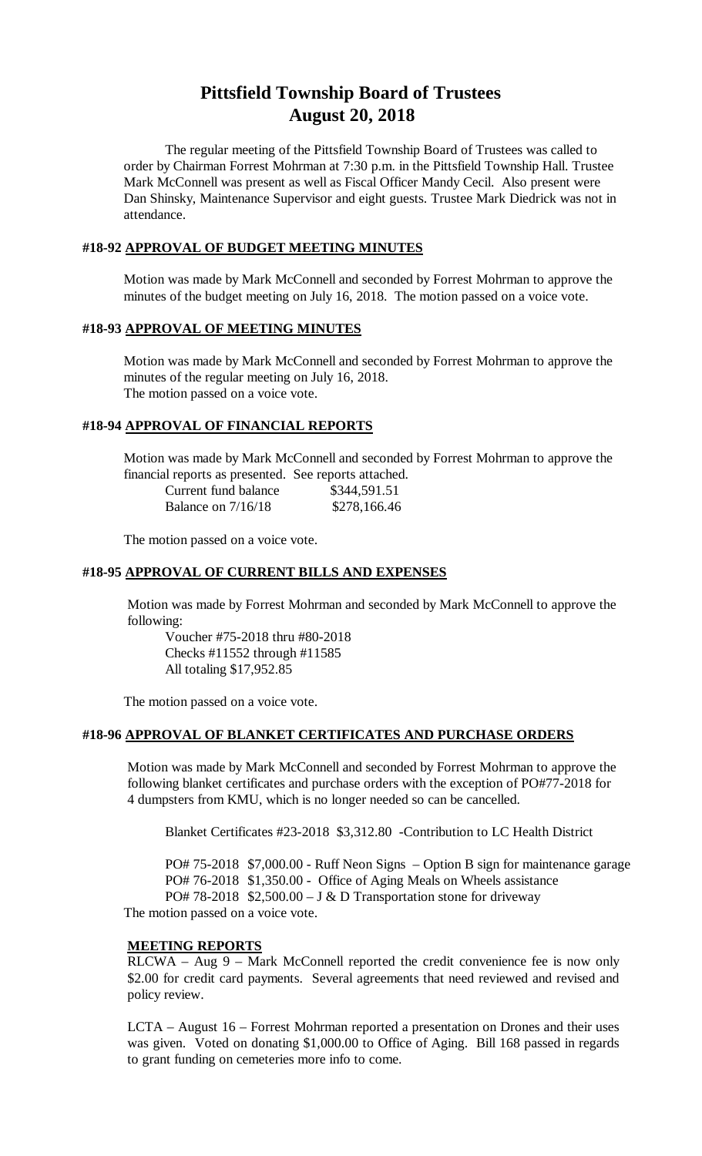# **Pittsfield Township Board of Trustees August 20, 2018**

The regular meeting of the Pittsfield Township Board of Trustees was called to order by Chairman Forrest Mohrman at 7:30 p.m. in the Pittsfield Township Hall. Trustee Mark McConnell was present as well as Fiscal Officer Mandy Cecil. Also present were Dan Shinsky, Maintenance Supervisor and eight guests. Trustee Mark Diedrick was not in attendance.

## **#18-92 APPROVAL OF BUDGET MEETING MINUTES**

Motion was made by Mark McConnell and seconded by Forrest Mohrman to approve the minutes of the budget meeting on July 16, 2018. The motion passed on a voice vote.

# **#18-93 APPROVAL OF MEETING MINUTES**

Motion was made by Mark McConnell and seconded by Forrest Mohrman to approve the minutes of the regular meeting on July 16, 2018. The motion passed on a voice vote.

# **#18-94 APPROVAL OF FINANCIAL REPORTS**

Motion was made by Mark McConnell and seconded by Forrest Mohrman to approve the financial reports as presented. See reports attached.

| Current fund balance | \$344,591.51 |
|----------------------|--------------|
| Balance on $7/16/18$ | \$278,166.46 |

The motion passed on a voice vote.

# **#18-95 APPROVAL OF CURRENT BILLS AND EXPENSES**

Motion was made by Forrest Mohrman and seconded by Mark McConnell to approve the following:

Voucher #75-2018 thru #80-2018 Checks #11552 through #11585 All totaling \$17,952.85

The motion passed on a voice vote.

#### **#18-96 APPROVAL OF BLANKET CERTIFICATES AND PURCHASE ORDERS**

Motion was made by Mark McConnell and seconded by Forrest Mohrman to approve the following blanket certificates and purchase orders with the exception of PO#77-2018 for 4 dumpsters from KMU, which is no longer needed so can be cancelled.

Blanket Certificates #23-2018 \$3,312.80 -Contribution to LC Health District

PO# 75-2018 \$7,000.00 - Ruff Neon Signs – Option B sign for maintenance garage PO# 76-2018 \$1,350.00 - Office of Aging Meals on Wheels assistance PO# 78-2018  $$2,500.00 - J & D$  Transportation stone for driveway The motion passed on a voice vote.

#### **MEETING REPORTS**

RLCWA – Aug 9 – Mark McConnell reported the credit convenience fee is now only \$2.00 for credit card payments. Several agreements that need reviewed and revised and policy review.

LCTA – August 16 – Forrest Mohrman reported a presentation on Drones and their uses was given. Voted on donating \$1,000.00 to Office of Aging. Bill 168 passed in regards to grant funding on cemeteries more info to come.